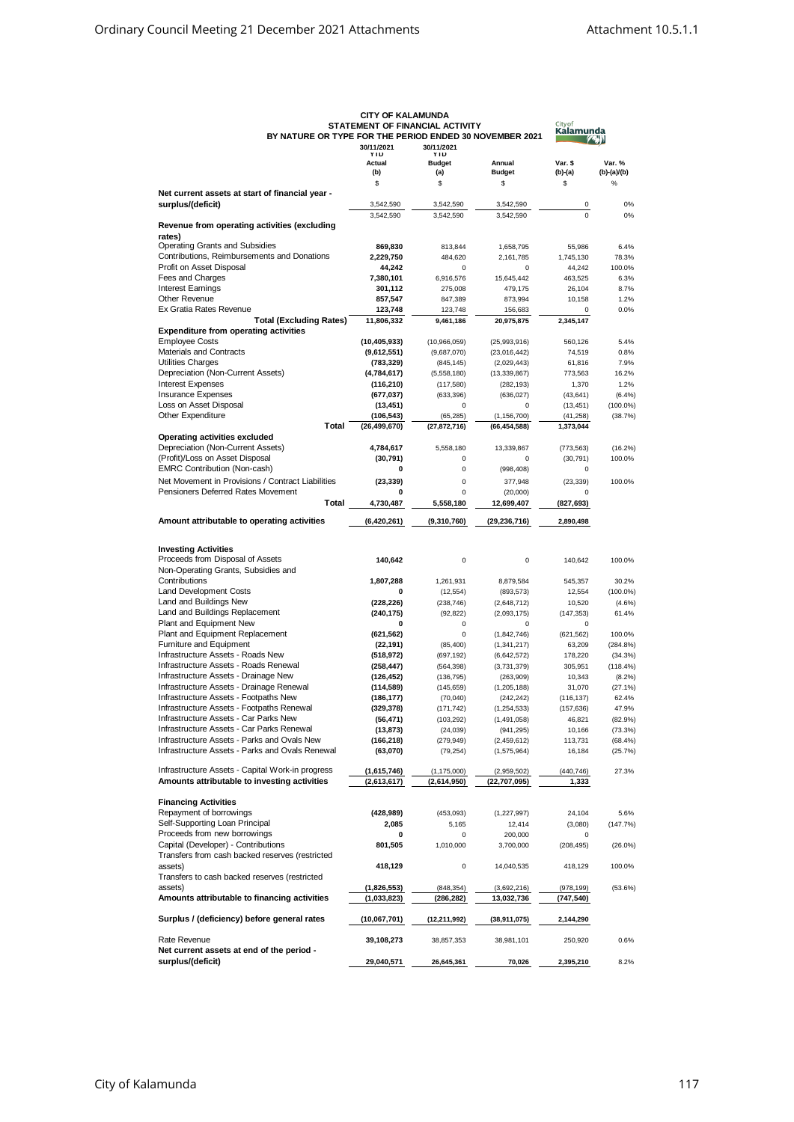|                                                                                | BY NATURE OR TYPE FOR THE PERIOD ENDED 30 NOVEMBER 2021<br>30/11/2021<br>30/11/2021 |                              |                             | Kalam<br>JЛ           |                         |
|--------------------------------------------------------------------------------|-------------------------------------------------------------------------------------|------------------------------|-----------------------------|-----------------------|-------------------------|
|                                                                                | YID<br>Actual<br>(b)                                                                | YÍU<br><b>Budget</b><br>(a)  | Annual<br><b>Budget</b>     | Var. \$<br>$(b)-(a)$  | Var. %<br>$(b)-(a)/(b)$ |
|                                                                                | \$                                                                                  | \$                           | \$                          | \$                    | $\%$                    |
| Net current assets at start of financial year -                                |                                                                                     |                              |                             |                       |                         |
| surplus/(deficit)                                                              | 3,542,590                                                                           | 3,542,590                    | 3,542,590                   | 0                     | 0%                      |
|                                                                                | 3,542,590                                                                           | 3,542,590                    | 3,542,590                   | $\mathbf 0$           | 0%                      |
| Revenue from operating activities (excluding                                   |                                                                                     |                              |                             |                       |                         |
| rates)<br><b>Operating Grants and Subsidies</b>                                | 869,830                                                                             | 813,844                      | 1,658,795                   | 55,986                | 6.4%                    |
| Contributions, Reimbursements and Donations                                    | 2,229,750                                                                           | 484,620                      | 2,161,785                   | 1,745,130             | 78.3%                   |
| Profit on Asset Disposal                                                       | 44,242                                                                              | 0                            | $\mathbf 0$                 | 44,242                | 100.0%                  |
| Fees and Charges                                                               | 7,380,101                                                                           | 6,916,576                    | 15,645,442                  | 463,525               | 6.3%                    |
| <b>Interest Earnings</b>                                                       | 301,112                                                                             | 275,008                      | 479,175                     | 26,104                | 8.7%                    |
| <b>Other Revenue</b>                                                           | 857,547                                                                             | 847,389                      | 873,994                     | 10.158                | 1.2%                    |
| Ex Gratia Rates Revenue                                                        | 123,748                                                                             | 123,748                      | 156,683                     | $\Omega$<br>2.345.147 | 0.0%                    |
| <b>Total (Excluding Rates)</b><br><b>Expenditure from operating activities</b> | 11,806,332                                                                          | 9,461,186                    | 20,975,875                  |                       |                         |
| <b>Employee Costs</b>                                                          | (10, 405, 933)                                                                      | (10,966,059)                 | (25,993,916)                | 560,126               | 5.4%                    |
| Materials and Contracts                                                        | (9,612,551)                                                                         | (9,687,070)                  | (23,016,442)                | 74,519                | 0.8%                    |
| Utilities Charges                                                              | (783, 329)                                                                          | (845, 145)                   | (2,029,443)                 | 61,816                | 7.9%                    |
| Depreciation (Non-Current Assets)                                              | (4,784,617)                                                                         | (5,558,180)                  | (13, 339, 867)              | 773,563               | 16.2%                   |
| <b>Interest Expenses</b>                                                       | (116, 210)                                                                          | (117,580)                    | (282, 193)                  | 1,370                 | 1.2%                    |
| Insurance Expenses                                                             | (677, 037)                                                                          | (633, 396)                   | (636, 027)                  | (43, 641)             | (6.4%)                  |
| Loss on Asset Disposal                                                         | (13, 451)                                                                           | 0                            | 0                           | (13, 451)             | $(100.0\%)$             |
| Other Expenditure<br><b>Total</b>                                              | (106,543)                                                                           | (65, 285)                    | (1, 156, 700)               | (41, 258)             | (38.7%)                 |
| <b>Operating activities excluded</b>                                           | (26, 499, 670)                                                                      | (27, 872, 716)               | (66, 454, 588)              | 1,373,044             |                         |
| Depreciation (Non-Current Assets)                                              | 4,784,617                                                                           | 5,558,180                    | 13,339,867                  | (773, 563)            | (16.2%)                 |
| (Profit)/Loss on Asset Disposal                                                | (30, 791)                                                                           | 0                            | $\mathbf 0$                 | (30, 791)             | 100.0%                  |
| <b>EMRC Contribution (Non-cash)</b>                                            | 0                                                                                   | 0                            | (998, 408)                  | 0                     |                         |
| Net Movement in Provisions / Contract Liabilities                              | (23, 339)                                                                           | 0                            | 377,948                     | (23, 339)             | 100.0%                  |
| Pensioners Deferred Rates Movement                                             | 0                                                                                   | 0                            | (20,000)                    | $\Omega$              |                         |
| Total                                                                          | 4,730,487                                                                           | 5,558,180                    | 12,699,407                  | (827, 693)            |                         |
| Amount attributable to operating activities                                    | (6, 420, 261)                                                                       | (9,310,760)                  | (29, 236, 716)              | 2,890,498             |                         |
|                                                                                |                                                                                     |                              |                             |                       |                         |
|                                                                                |                                                                                     |                              |                             |                       |                         |
| <b>Investing Activities</b><br>Proceeds from Disposal of Assets                |                                                                                     | 0                            | 0                           |                       |                         |
| Non-Operating Grants, Subsidies and                                            | 140,642                                                                             |                              |                             | 140,642               | 100.0%                  |
| Contributions                                                                  | 1,807,288                                                                           | 1,261,931                    | 8,879,584                   | 545,357               | 30.2%                   |
| <b>Land Development Costs</b>                                                  | 0                                                                                   | (12, 554)                    | (893, 573)                  | 12,554                | $(100.0\%)$             |
| Land and Buildings New                                                         | (228, 226)                                                                          | (238, 746)                   | (2,648,712)                 | 10,520                | $(4.6\%)$               |
| Land and Buildings Replacement                                                 | (240, 175)                                                                          | (92, 822)                    | (2,093,175)                 | (147, 353)            | 61.4%                   |
| Plant and Equipment New                                                        | 0                                                                                   | 0                            | $\mathbf 0$                 | $\mathbf 0$           |                         |
| Plant and Equipment Replacement                                                | (621, 562)                                                                          | 0                            | (1,842,746)                 | (621, 562)            | 100.0%                  |
| Furniture and Equipment                                                        | (22, 191)                                                                           | (85, 400)                    | (1, 341, 217)               | 63,209                | (284.8%)                |
| Infrastructure Assets - Roads New<br>Infrastructure Assets - Roads Renewal     | (518, 972)                                                                          | (697, 192)                   | (6,642,572)                 | 178,220               | (34.3%)                 |
| Infrastructure Assets - Drainage New                                           | (258, 447)                                                                          | (564, 398)                   | (3,731,379)                 | 305,951               | (118.4%)                |
| Infrastructure Assets - Drainage Renewal                                       | (126, 452)<br>(114, 589)                                                            | (136, 795)<br>(145, 659)     | (263,909)<br>(1, 205, 188)  | 10,343<br>31,070      | $(8.2\%)$<br>(27.1%)    |
| Infrastructure Assets - Footpaths New                                          | (186, 177)                                                                          | (70,040)                     | (242, 242)                  | (116, 137)            | 62.4%                   |
| Infrastructure Assets - Footpaths Renewal                                      | (329, 378)                                                                          | (171, 742)                   | (1, 254, 533)               | (157, 636)            | 47.9%                   |
| Infrastructure Assets - Car Parks New                                          | (56, 471)                                                                           | (103, 292)                   | (1, 491, 058)               | 46,821                | (82.9%)                 |
| Infrastructure Assets - Car Parks Renewal                                      | (13,873)                                                                            | (24, 039)                    | (941,295)                   | 10,166                | (73.3%)                 |
| Infrastructure Assets - Parks and Ovals New                                    | (166, 218)                                                                          | (279, 949)                   | (2,459,612)                 | 113,731               | (68.4%)                 |
| Infrastructure Assets - Parks and Ovals Renewal                                | (63,070)                                                                            | (79, 254)                    | (1,575,964)                 | 16,184                | (25.7%)                 |
| Infrastructure Assets - Capital Work-in progress                               | (1,615,746)                                                                         |                              |                             |                       | 27.3%                   |
| Amounts attributable to investing activities                                   | (2,613,617)                                                                         | (1, 175, 000)<br>(2,614,950) | (2,959,502)<br>(22,707,095) | (440, 746)<br>1,333   |                         |
|                                                                                |                                                                                     |                              |                             |                       |                         |
| <b>Financing Activities</b>                                                    |                                                                                     |                              |                             |                       |                         |
| Repayment of borrowings                                                        | (428, 989)                                                                          | (453,093)                    | (1, 227, 997)               | 24,104                | 5.6%                    |
| Self-Supporting Loan Principal                                                 | 2,085                                                                               | 5,165                        | 12,414                      | (3,080)               | (147.7%)                |
| Proceeds from new borrowings                                                   | 0                                                                                   | 0                            | 200,000                     | 0                     |                         |
| Capital (Developer) - Contributions                                            | 801,505                                                                             | 1,010,000                    | 3,700,000                   | (208, 495)            | $(26.0\%)$              |
| Transfers from cash backed reserves (restricted                                |                                                                                     |                              |                             |                       |                         |
| assets)<br>Transfers to cash backed reserves (restricted                       | 418,129                                                                             | 0                            | 14,040,535                  | 418,129               | 100.0%                  |
| assets)                                                                        | (1,826,553)                                                                         | (848, 354)                   | (3,692,216)                 | (978, 199)            | (53.6%)                 |
| Amounts attributable to financing activities                                   | (1,033,823)                                                                         | (286, 282)                   | 13,032,736                  | (747, 540)            |                         |
|                                                                                |                                                                                     |                              |                             |                       |                         |
| Surplus / (deficiency) before general rates                                    | (10,067,701)                                                                        | (12, 211, 992)               | (38,911,075)                | 2,144,290             |                         |
|                                                                                |                                                                                     |                              |                             |                       |                         |
| Rate Revenue<br>Net current assets at end of the period -                      | 39,108,273                                                                          | 38,857,353                   | 38,981,101                  | 250,920               | 0.6%                    |
| surplus/(deficit)                                                              | 29,040,571                                                                          | 26,645,361                   | 70,026                      | 2,395,210             | 8.2%                    |